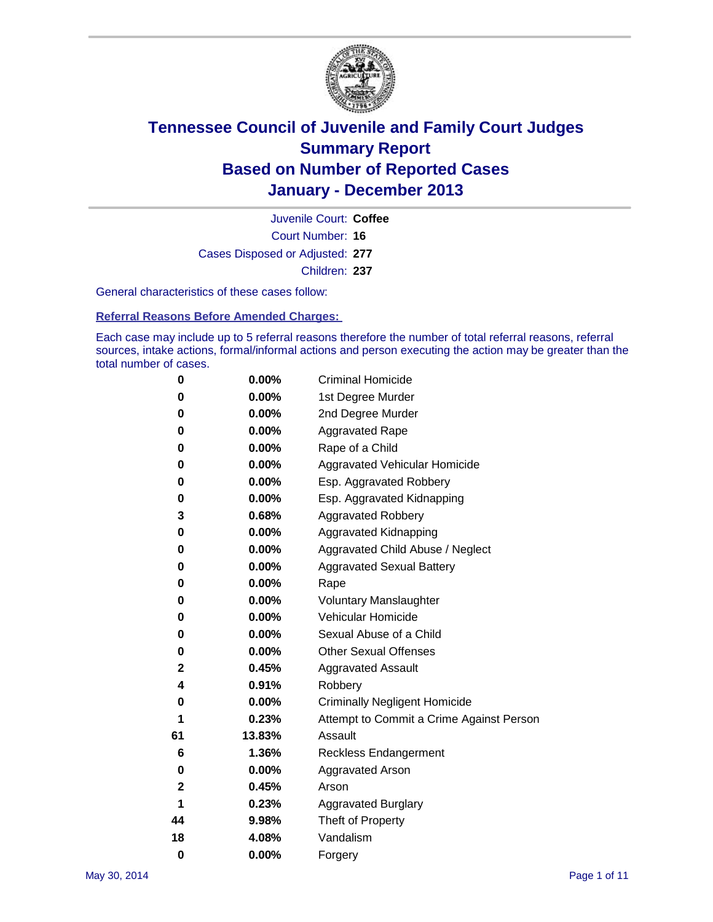

Court Number: **16** Juvenile Court: **Coffee** Cases Disposed or Adjusted: **277** Children: **237**

General characteristics of these cases follow:

**Referral Reasons Before Amended Charges:** 

Each case may include up to 5 referral reasons therefore the number of total referral reasons, referral sources, intake actions, formal/informal actions and person executing the action may be greater than the total number of cases.

| 0        | 0.00%    | <b>Criminal Homicide</b>                 |
|----------|----------|------------------------------------------|
| 0        | 0.00%    | 1st Degree Murder                        |
| 0        | 0.00%    | 2nd Degree Murder                        |
| 0        | $0.00\%$ | <b>Aggravated Rape</b>                   |
| 0        | 0.00%    | Rape of a Child                          |
| 0        | 0.00%    | <b>Aggravated Vehicular Homicide</b>     |
| 0        | 0.00%    | Esp. Aggravated Robbery                  |
| 0        | 0.00%    | Esp. Aggravated Kidnapping               |
| 3        | 0.68%    | <b>Aggravated Robbery</b>                |
| 0        | 0.00%    | Aggravated Kidnapping                    |
| 0        | 0.00%    | Aggravated Child Abuse / Neglect         |
| 0        | 0.00%    | <b>Aggravated Sexual Battery</b>         |
| 0        | 0.00%    | Rape                                     |
| 0        | 0.00%    | <b>Voluntary Manslaughter</b>            |
| 0        | 0.00%    | Vehicular Homicide                       |
| 0        | 0.00%    | Sexual Abuse of a Child                  |
| 0        | 0.00%    | <b>Other Sexual Offenses</b>             |
| 2        | 0.45%    | <b>Aggravated Assault</b>                |
| 4        | 0.91%    | Robbery                                  |
| 0        | 0.00%    | <b>Criminally Negligent Homicide</b>     |
| 1        | 0.23%    | Attempt to Commit a Crime Against Person |
| 61       | 13.83%   | Assault                                  |
| 6        | 1.36%    | <b>Reckless Endangerment</b>             |
| 0        | 0.00%    | <b>Aggravated Arson</b>                  |
| 2        | 0.45%    | Arson                                    |
| 1        | 0.23%    | <b>Aggravated Burglary</b>               |
| 44       | 9.98%    | Theft of Property                        |
| 18       | 4.08%    | Vandalism                                |
| $\bf{0}$ | 0.00%    | Forgery                                  |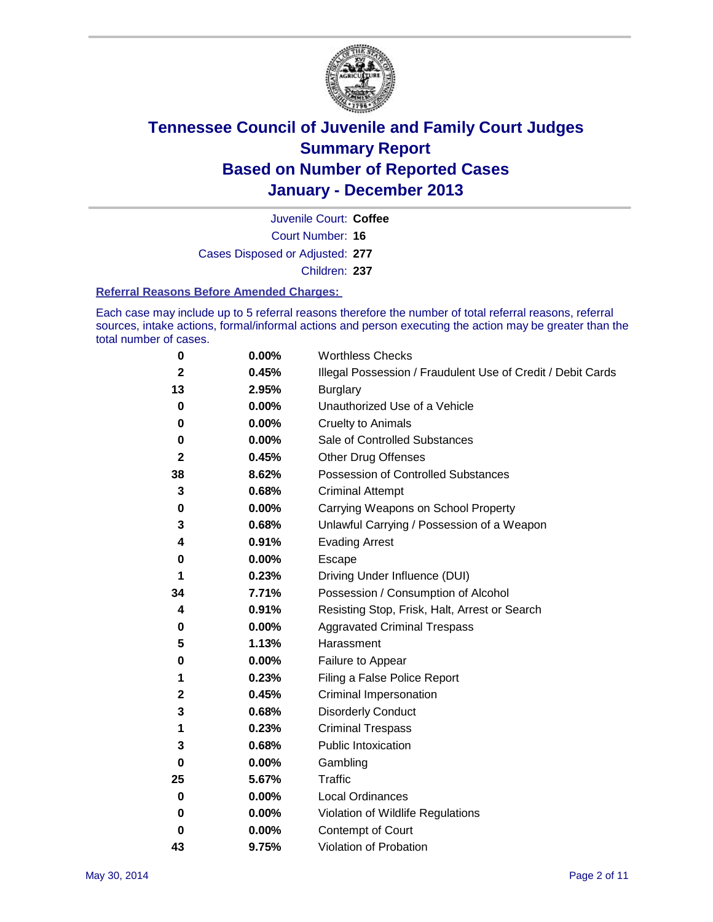

Court Number: **16** Juvenile Court: **Coffee** Cases Disposed or Adjusted: **277** Children: **237**

### **Referral Reasons Before Amended Charges:**

Each case may include up to 5 referral reasons therefore the number of total referral reasons, referral sources, intake actions, formal/informal actions and person executing the action may be greater than the total number of cases.

| 0            | 0.00% | <b>Worthless Checks</b>                                     |
|--------------|-------|-------------------------------------------------------------|
| $\mathbf 2$  | 0.45% | Illegal Possession / Fraudulent Use of Credit / Debit Cards |
| 13           | 2.95% | <b>Burglary</b>                                             |
| 0            | 0.00% | Unauthorized Use of a Vehicle                               |
| 0            | 0.00% | <b>Cruelty to Animals</b>                                   |
| 0            | 0.00% | Sale of Controlled Substances                               |
| $\mathbf{2}$ | 0.45% | <b>Other Drug Offenses</b>                                  |
| 38           | 8.62% | Possession of Controlled Substances                         |
| 3            | 0.68% | <b>Criminal Attempt</b>                                     |
| 0            | 0.00% | Carrying Weapons on School Property                         |
| 3            | 0.68% | Unlawful Carrying / Possession of a Weapon                  |
| 4            | 0.91% | <b>Evading Arrest</b>                                       |
| 0            | 0.00% | Escape                                                      |
| 1            | 0.23% | Driving Under Influence (DUI)                               |
| 34           | 7.71% | Possession / Consumption of Alcohol                         |
| 4            | 0.91% | Resisting Stop, Frisk, Halt, Arrest or Search               |
| 0            | 0.00% | <b>Aggravated Criminal Trespass</b>                         |
| 5            | 1.13% | Harassment                                                  |
| 0            | 0.00% | Failure to Appear                                           |
| 1            | 0.23% | Filing a False Police Report                                |
| 2            | 0.45% | Criminal Impersonation                                      |
| 3            | 0.68% | <b>Disorderly Conduct</b>                                   |
| 1            | 0.23% | <b>Criminal Trespass</b>                                    |
| 3            | 0.68% | <b>Public Intoxication</b>                                  |
| 0            | 0.00% | Gambling                                                    |
| 25           | 5.67% | <b>Traffic</b>                                              |
| 0            | 0.00% | Local Ordinances                                            |
| 0            | 0.00% | Violation of Wildlife Regulations                           |
| 0            | 0.00% | Contempt of Court                                           |
| 43           | 9.75% | Violation of Probation                                      |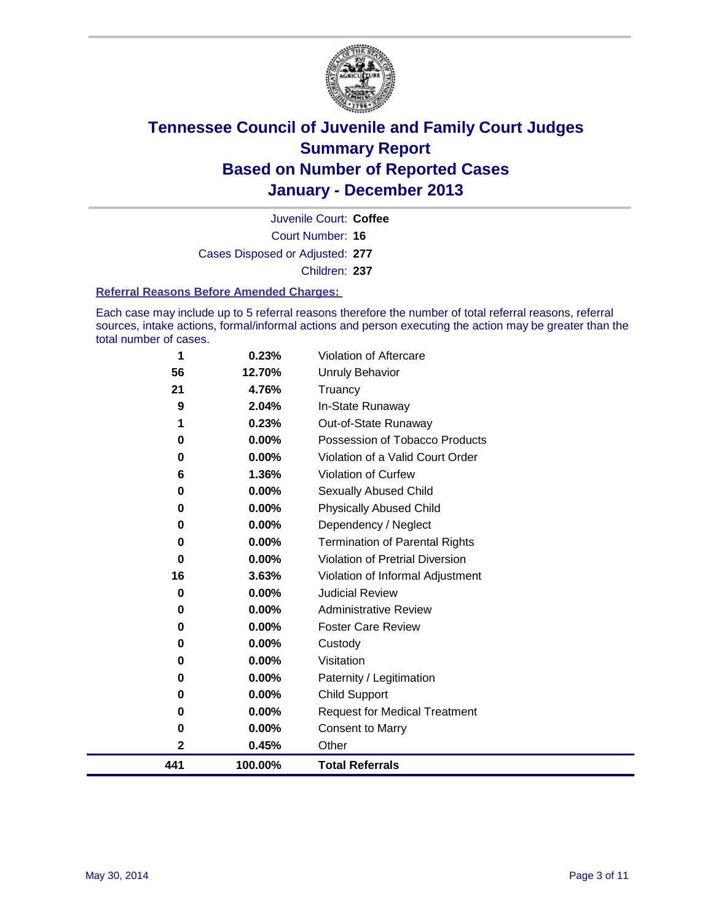

Court Number: **16** Juvenile Court: **Coffee** Cases Disposed or Adjusted: **277** Children: **237**

### **Referral Reasons Before Amended Charges:**

Each case may include up to 5 referral reasons therefore the number of total referral reasons, referral sources, intake actions, formal/informal actions and person executing the action may be greater than the total number of cases.

| 1   | 0.23%    | <b>Violation of Aftercare</b>          |
|-----|----------|----------------------------------------|
| 56  | 12.70%   | <b>Unruly Behavior</b>                 |
| 21  | 4.76%    | Truancy                                |
| 9   | 2.04%    | In-State Runaway                       |
| 1   | 0.23%    | Out-of-State Runaway                   |
| 0   | 0.00%    | Possession of Tobacco Products         |
| 0   | 0.00%    | Violation of a Valid Court Order       |
| 6   | 1.36%    | Violation of Curfew                    |
| 0   | 0.00%    | Sexually Abused Child                  |
| 0   | $0.00\%$ | <b>Physically Abused Child</b>         |
| 0   | 0.00%    | Dependency / Neglect                   |
| 0   | 0.00%    | <b>Termination of Parental Rights</b>  |
| 0   | $0.00\%$ | <b>Violation of Pretrial Diversion</b> |
| 16  | 3.63%    | Violation of Informal Adjustment       |
| 0   | 0.00%    | <b>Judicial Review</b>                 |
| 0   | 0.00%    | <b>Administrative Review</b>           |
| 0   | $0.00\%$ | <b>Foster Care Review</b>              |
| 0   | $0.00\%$ | Custody                                |
| 0   | $0.00\%$ | Visitation                             |
| 0   | $0.00\%$ | Paternity / Legitimation               |
| 0   | 0.00%    | <b>Child Support</b>                   |
| 0   | 0.00%    | <b>Request for Medical Treatment</b>   |
| 0   | 0.00%    | <b>Consent to Marry</b>                |
| 2   | 0.45%    | Other                                  |
| 441 | 100.00%  | <b>Total Referrals</b>                 |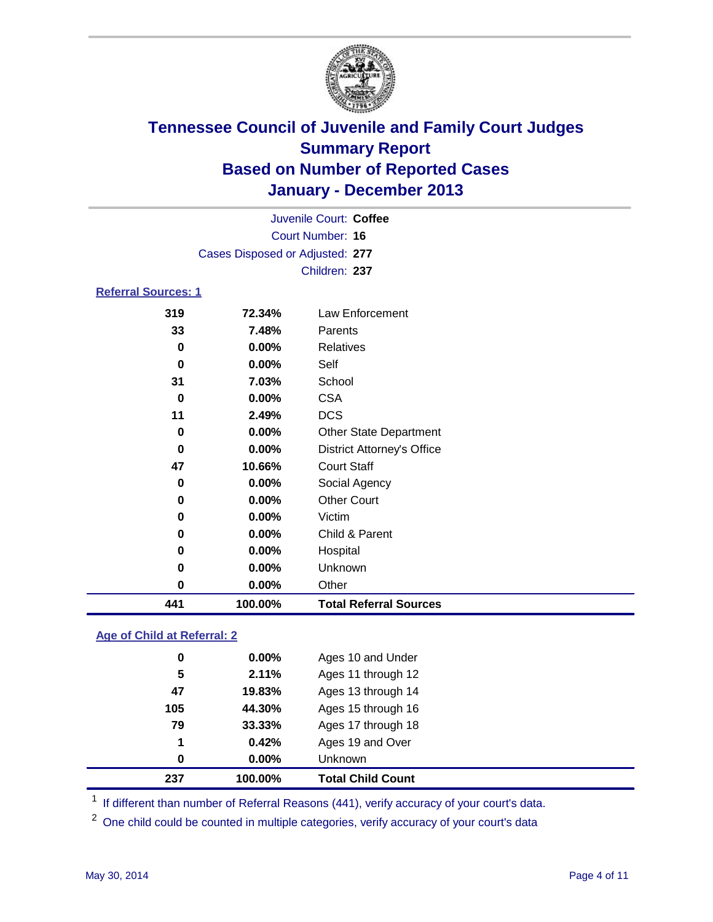

| 441                        | 100.00%                         | <b>Total Referral Sources</b>     |  |  |  |
|----------------------------|---------------------------------|-----------------------------------|--|--|--|
| 0                          | 0.00%                           | Other                             |  |  |  |
| $\bf{0}$                   | $0.00\%$                        | Unknown                           |  |  |  |
| 0                          | $0.00\%$                        | Hospital                          |  |  |  |
| 0                          | $0.00\%$                        | Child & Parent                    |  |  |  |
| 0                          | 0.00%                           | Victim                            |  |  |  |
| 0                          | 0.00%                           | <b>Other Court</b>                |  |  |  |
| 0                          | 0.00%                           | Social Agency                     |  |  |  |
| 47                         | 10.66%                          | <b>Court Staff</b>                |  |  |  |
| $\bf{0}$                   | $0.00\%$                        | <b>District Attorney's Office</b> |  |  |  |
| 0                          | $0.00\%$                        | Other State Department            |  |  |  |
| 11                         | 2.49%                           | <b>DCS</b>                        |  |  |  |
| $\bf{0}$                   | 0.00%                           | <b>CSA</b>                        |  |  |  |
| 31                         | 7.03%                           | School                            |  |  |  |
| 0                          | 0.00%                           | Self                              |  |  |  |
| 0                          | $0.00\%$                        | <b>Relatives</b>                  |  |  |  |
| 33                         | 7.48%                           | Parents                           |  |  |  |
| 319                        | 72.34%                          | Law Enforcement                   |  |  |  |
| <b>Referral Sources: 1</b> |                                 |                                   |  |  |  |
|                            |                                 | Children: 237                     |  |  |  |
|                            | Cases Disposed or Adjusted: 277 |                                   |  |  |  |
|                            | Court Number: 16                |                                   |  |  |  |
|                            | Juvenile Court: Coffee          |                                   |  |  |  |
|                            |                                 |                                   |  |  |  |

### **Age of Child at Referral: 2**

| 237 | 100.00% | <b>Total Child Count</b> |
|-----|---------|--------------------------|
| 0   | 0.00%   | <b>Unknown</b>           |
| 1   | 0.42%   | Ages 19 and Over         |
| 79  | 33.33%  | Ages 17 through 18       |
| 105 | 44.30%  | Ages 15 through 16       |
| 47  | 19.83%  | Ages 13 through 14       |
| 5   | 2.11%   | Ages 11 through 12       |
| 0   | 0.00%   | Ages 10 and Under        |

<sup>1</sup> If different than number of Referral Reasons (441), verify accuracy of your court's data.

<sup>2</sup> One child could be counted in multiple categories, verify accuracy of your court's data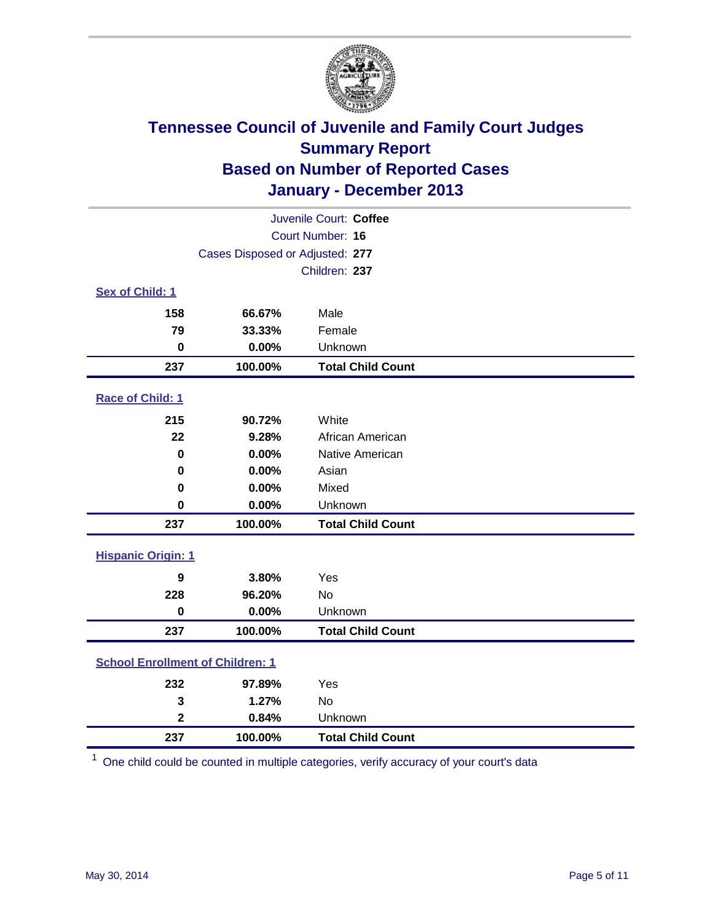

| Juvenile Court: Coffee                  |                                 |                          |  |
|-----------------------------------------|---------------------------------|--------------------------|--|
| Court Number: 16                        |                                 |                          |  |
|                                         | Cases Disposed or Adjusted: 277 |                          |  |
|                                         |                                 | Children: 237            |  |
| Sex of Child: 1                         |                                 |                          |  |
| 158                                     | 66.67%                          | Male                     |  |
| 79                                      | 33.33%                          | Female                   |  |
| $\bf{0}$                                | 0.00%                           | Unknown                  |  |
| 237                                     | 100.00%                         | <b>Total Child Count</b> |  |
| Race of Child: 1                        |                                 |                          |  |
| 215                                     | 90.72%                          | White                    |  |
| 22                                      | 9.28%                           | African American         |  |
| $\mathbf 0$                             | 0.00%                           | Native American          |  |
| $\bf{0}$                                | 0.00%                           | Asian                    |  |
| 0                                       | 0.00%                           | Mixed                    |  |
| 0                                       | 0.00%                           | Unknown                  |  |
| 237                                     | 100.00%                         | <b>Total Child Count</b> |  |
| <b>Hispanic Origin: 1</b>               |                                 |                          |  |
| 9                                       | 3.80%                           | Yes                      |  |
| 228                                     | 96.20%                          | <b>No</b>                |  |
| $\mathbf 0$                             | 0.00%                           | Unknown                  |  |
| 237                                     | 100.00%                         | <b>Total Child Count</b> |  |
| <b>School Enrollment of Children: 1</b> |                                 |                          |  |
| 232                                     | 97.89%                          | Yes                      |  |
| 3                                       | 1.27%                           | <b>No</b>                |  |
| $\overline{\mathbf{2}}$                 | 0.84%                           | Unknown                  |  |
| 237                                     | 100.00%                         | <b>Total Child Count</b> |  |

One child could be counted in multiple categories, verify accuracy of your court's data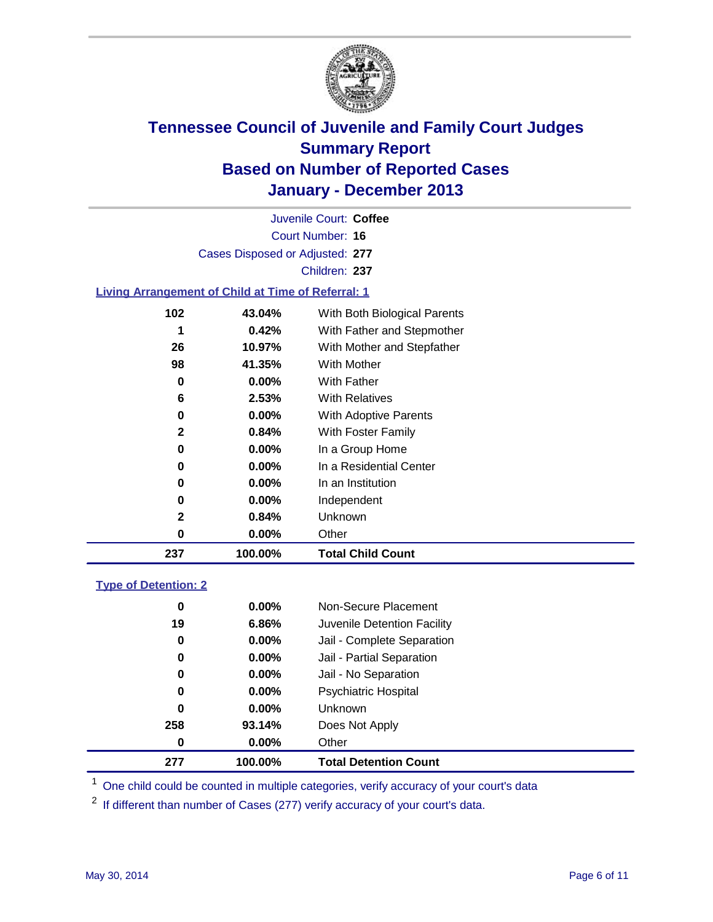

Court Number: **16** Juvenile Court: **Coffee** Cases Disposed or Adjusted: **277** Children: **237**

### **Living Arrangement of Child at Time of Referral: 1**

| 237 | 100.00%  | <b>Total Child Count</b>     |
|-----|----------|------------------------------|
| 0   | $0.00\%$ | Other                        |
| 2   | 0.84%    | Unknown                      |
| 0   | $0.00\%$ | Independent                  |
| 0   | $0.00\%$ | In an Institution            |
| 0   | $0.00\%$ | In a Residential Center      |
| 0   | $0.00\%$ | In a Group Home              |
| 2   | 0.84%    | With Foster Family           |
| 0   | 0.00%    | With Adoptive Parents        |
| 6   | 2.53%    | <b>With Relatives</b>        |
| 0   | 0.00%    | With Father                  |
| 98  | 41.35%   | With Mother                  |
| 26  | 10.97%   | With Mother and Stepfather   |
| 1   | 0.42%    | With Father and Stepmother   |
| 102 | 43.04%   | With Both Biological Parents |
|     |          |                              |

### **Type of Detention: 2**

| 277 | 100.00%  | <b>Total Detention Count</b> |
|-----|----------|------------------------------|
| 0   | $0.00\%$ | Other                        |
| 258 | 93.14%   | Does Not Apply               |
| 0   | $0.00\%$ | <b>Unknown</b>               |
| 0   | $0.00\%$ | <b>Psychiatric Hospital</b>  |
| 0   | 0.00%    | Jail - No Separation         |
| 0   | $0.00\%$ | Jail - Partial Separation    |
| 0   | 0.00%    | Jail - Complete Separation   |
| 19  | 6.86%    | Juvenile Detention Facility  |
| 0   | 0.00%    | Non-Secure Placement         |
|     |          |                              |

<sup>1</sup> One child could be counted in multiple categories, verify accuracy of your court's data

If different than number of Cases (277) verify accuracy of your court's data.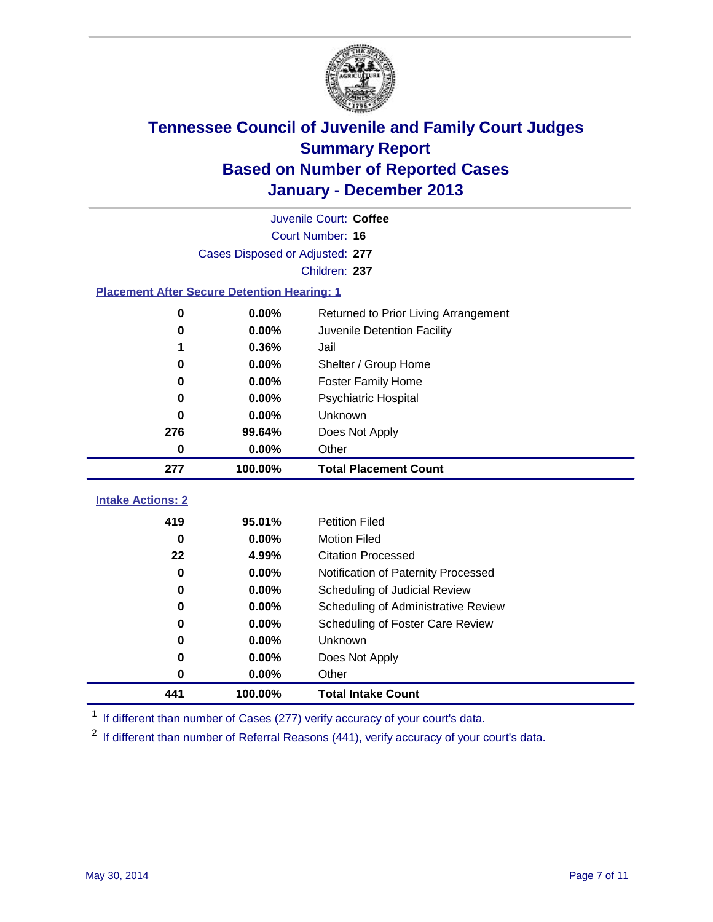

|                                                    | Juvenile Court: Coffee          |                                      |  |
|----------------------------------------------------|---------------------------------|--------------------------------------|--|
|                                                    |                                 | Court Number: 16                     |  |
|                                                    | Cases Disposed or Adjusted: 277 |                                      |  |
|                                                    |                                 | Children: 237                        |  |
| <b>Placement After Secure Detention Hearing: 1</b> |                                 |                                      |  |
| 0                                                  | 0.00%                           | Returned to Prior Living Arrangement |  |
| $\bf{0}$                                           | 0.00%                           | Juvenile Detention Facility          |  |
| 1                                                  | 0.36%                           | Jail                                 |  |
| 0                                                  | 0.00%                           | Shelter / Group Home                 |  |
| 0                                                  | 0.00%                           | <b>Foster Family Home</b>            |  |
| 0                                                  | 0.00%                           | <b>Psychiatric Hospital</b>          |  |
| 0                                                  | 0.00%                           | Unknown                              |  |
| 276                                                | 99.64%                          | Does Not Apply                       |  |
| 0                                                  | 0.00%                           | Other                                |  |
| 277                                                | 100.00%                         | <b>Total Placement Count</b>         |  |
| <b>Intake Actions: 2</b>                           |                                 |                                      |  |
|                                                    |                                 |                                      |  |
| 419                                                | 95.01%                          | <b>Petition Filed</b>                |  |
| $\bf{0}$                                           | 0.00%                           | <b>Motion Filed</b>                  |  |
| 22                                                 | 4.99%                           | <b>Citation Processed</b>            |  |
| 0                                                  | 0.00%                           | Notification of Paternity Processed  |  |
| 0                                                  | 0.00%                           | Scheduling of Judicial Review        |  |
| 0                                                  | 0.00%                           | Scheduling of Administrative Review  |  |
| 0                                                  | 0.00%                           | Scheduling of Foster Care Review     |  |
| 0                                                  | 0.00%                           | Unknown                              |  |
| 0                                                  | 0.00%                           | Does Not Apply                       |  |
| $\bf{0}$                                           | 0.00%                           | Other                                |  |
| 441                                                | 100.00%                         | <b>Total Intake Count</b>            |  |

<sup>1</sup> If different than number of Cases (277) verify accuracy of your court's data.

If different than number of Referral Reasons (441), verify accuracy of your court's data.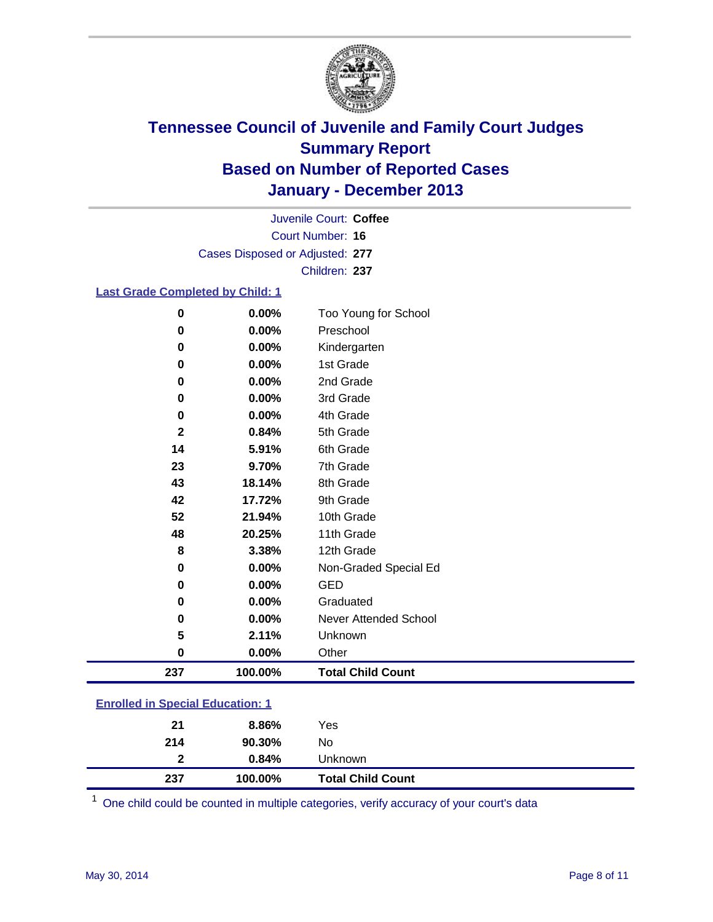

Court Number: **16** Juvenile Court: **Coffee** Cases Disposed or Adjusted: **277** Children: **237**

### **Last Grade Completed by Child: 1**

| 237         | 100.00% | <b>Total Child Count</b> |
|-------------|---------|--------------------------|
| 0           | 0.00%   | Other                    |
| 5           | 2.11%   | Unknown                  |
| 0           | 0.00%   | Never Attended School    |
| 0           | 0.00%   | Graduated                |
| 0           | 0.00%   | <b>GED</b>               |
| $\bf{0}$    | 0.00%   | Non-Graded Special Ed    |
| 8           | 3.38%   | 12th Grade               |
| 48          | 20.25%  | 11th Grade               |
| 52          | 21.94%  | 10th Grade               |
| 42          | 17.72%  | 9th Grade                |
| 43          | 18.14%  | 8th Grade                |
| 23          | 9.70%   | 7th Grade                |
| 14          | 5.91%   | 6th Grade                |
| $\mathbf 2$ | 0.84%   | 5th Grade                |
| 0           | 0.00%   | 4th Grade                |
| 0           | 0.00%   | 3rd Grade                |
| 0           | 0.00%   | 2nd Grade                |
| 0           | 0.00%   | 1st Grade                |
| 0           | 0.00%   | Kindergarten             |
| 0           | 0.00%   | Preschool                |
| $\bf{0}$    | 0.00%   | Too Young for School     |

| <b>Total Child Count</b> |
|--------------------------|
|                          |
|                          |
|                          |
|                          |

One child could be counted in multiple categories, verify accuracy of your court's data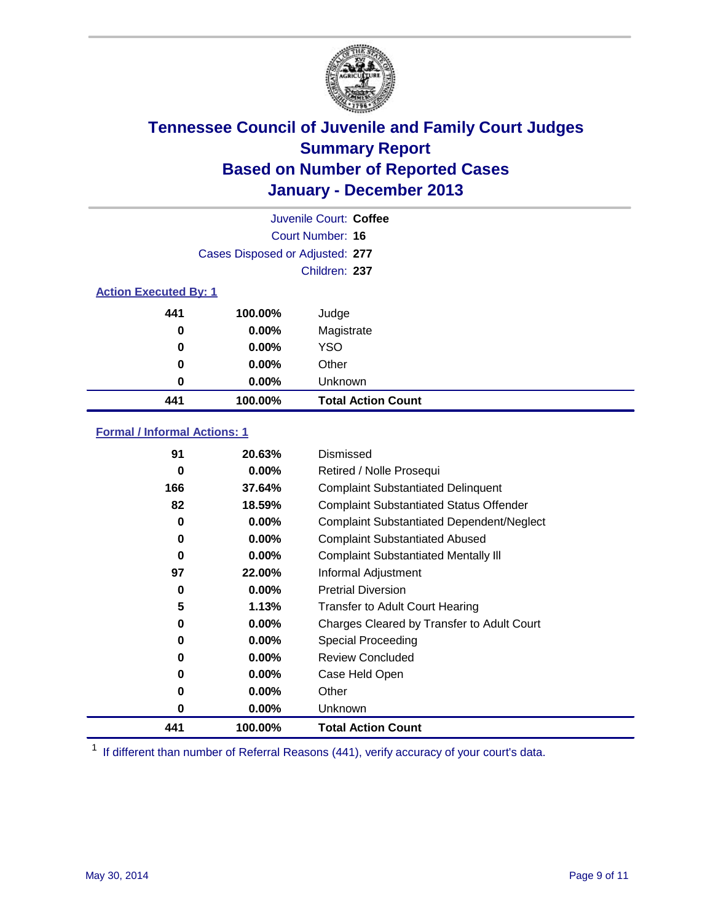

|                              |                                 | Juvenile Court: Coffee    |
|------------------------------|---------------------------------|---------------------------|
|                              |                                 | Court Number: 16          |
|                              | Cases Disposed or Adjusted: 277 |                           |
|                              |                                 | Children: 237             |
| <b>Action Executed By: 1</b> |                                 |                           |
| 441                          | 100.00%                         | Judge                     |
| 0                            | $0.00\%$                        | Magistrate                |
| $\bf{0}$                     | $0.00\%$                        | <b>YSO</b>                |
| 0                            | $0.00\%$                        | Other                     |
| 0                            | $0.00\%$                        | Unknown                   |
| 441                          | 100.00%                         | <b>Total Action Count</b> |

### **Formal / Informal Actions: 1**

| 91  | 20.63%   | Dismissed                                        |
|-----|----------|--------------------------------------------------|
| 0   | $0.00\%$ | Retired / Nolle Prosequi                         |
| 166 | 37.64%   | <b>Complaint Substantiated Delinquent</b>        |
| 82  | 18.59%   | <b>Complaint Substantiated Status Offender</b>   |
| 0   | $0.00\%$ | <b>Complaint Substantiated Dependent/Neglect</b> |
| 0   | $0.00\%$ | <b>Complaint Substantiated Abused</b>            |
| 0   | $0.00\%$ | <b>Complaint Substantiated Mentally III</b>      |
| 97  | 22.00%   | Informal Adjustment                              |
| 0   | $0.00\%$ | <b>Pretrial Diversion</b>                        |
| 5   | 1.13%    | <b>Transfer to Adult Court Hearing</b>           |
| 0   | $0.00\%$ | Charges Cleared by Transfer to Adult Court       |
| 0   | $0.00\%$ | Special Proceeding                               |
| 0   | $0.00\%$ | <b>Review Concluded</b>                          |
| 0   | $0.00\%$ | Case Held Open                                   |
| 0   | $0.00\%$ | Other                                            |
| 0   | $0.00\%$ | <b>Unknown</b>                                   |
| 441 | 100.00%  | <b>Total Action Count</b>                        |

<sup>1</sup> If different than number of Referral Reasons (441), verify accuracy of your court's data.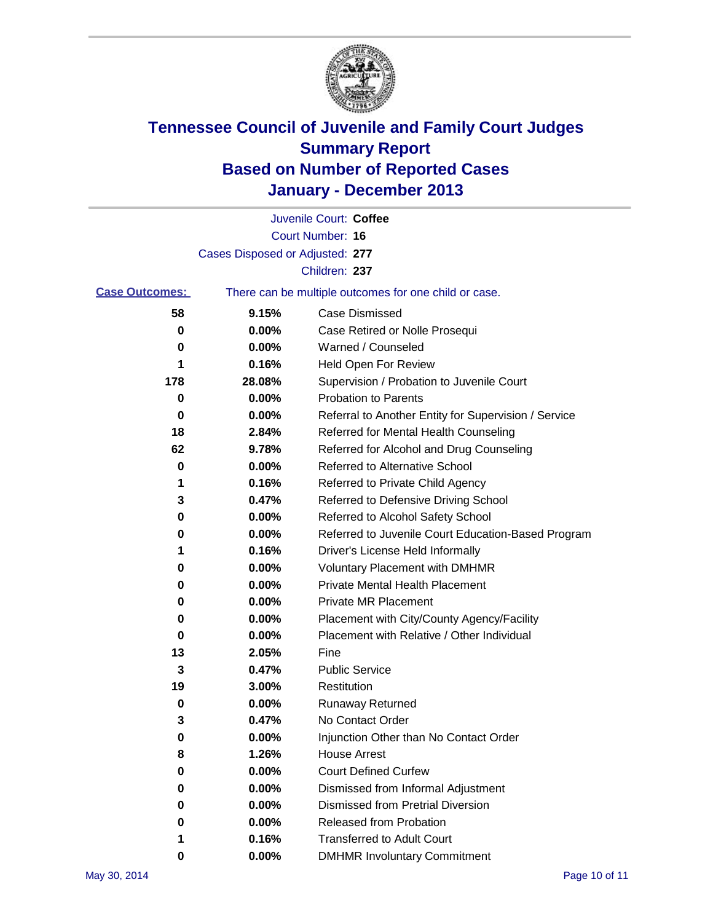

|                       |                                 | Juvenile Court: Coffee                                |
|-----------------------|---------------------------------|-------------------------------------------------------|
|                       |                                 | <b>Court Number: 16</b>                               |
|                       | Cases Disposed or Adjusted: 277 |                                                       |
|                       |                                 | Children: 237                                         |
| <b>Case Outcomes:</b> |                                 | There can be multiple outcomes for one child or case. |
| 58                    | 9.15%                           | Case Dismissed                                        |
| 0                     | 0.00%                           | Case Retired or Nolle Prosequi                        |
| 0                     | 0.00%                           | Warned / Counseled                                    |
| 1                     | 0.16%                           | Held Open For Review                                  |
| 178                   | 28.08%                          | Supervision / Probation to Juvenile Court             |
| 0                     | 0.00%                           | <b>Probation to Parents</b>                           |
| 0                     | 0.00%                           | Referral to Another Entity for Supervision / Service  |
| 18                    | 2.84%                           | Referred for Mental Health Counseling                 |
| 62                    | 9.78%                           | Referred for Alcohol and Drug Counseling              |
| 0                     | 0.00%                           | <b>Referred to Alternative School</b>                 |
| 1                     | 0.16%                           | Referred to Private Child Agency                      |
| 3                     | 0.47%                           | Referred to Defensive Driving School                  |
| 0                     | 0.00%                           | Referred to Alcohol Safety School                     |
| 0                     | 0.00%                           | Referred to Juvenile Court Education-Based Program    |
| 1                     | 0.16%                           | Driver's License Held Informally                      |
| 0                     | 0.00%                           | <b>Voluntary Placement with DMHMR</b>                 |
| 0                     | 0.00%                           | <b>Private Mental Health Placement</b>                |
| 0                     | 0.00%                           | <b>Private MR Placement</b>                           |
| 0                     | 0.00%                           | Placement with City/County Agency/Facility            |
| 0                     | 0.00%                           | Placement with Relative / Other Individual            |
| 13                    | 2.05%                           | Fine                                                  |
| 3                     | 0.47%                           | <b>Public Service</b>                                 |
| 19                    | 3.00%                           | Restitution                                           |
| 0                     | 0.00%                           | <b>Runaway Returned</b>                               |
| 3                     | 0.47%                           | No Contact Order                                      |
| 0                     | 0.00%                           | Injunction Other than No Contact Order                |
| 8                     | 1.26%                           | <b>House Arrest</b>                                   |
| 0                     | 0.00%                           | <b>Court Defined Curfew</b>                           |
| 0                     | 0.00%                           | Dismissed from Informal Adjustment                    |
| 0                     | 0.00%                           | <b>Dismissed from Pretrial Diversion</b>              |
| 0                     | 0.00%                           | Released from Probation                               |
| 1                     | 0.16%                           | <b>Transferred to Adult Court</b>                     |
| $\bf{0}$              | 0.00%                           | <b>DMHMR Involuntary Commitment</b>                   |